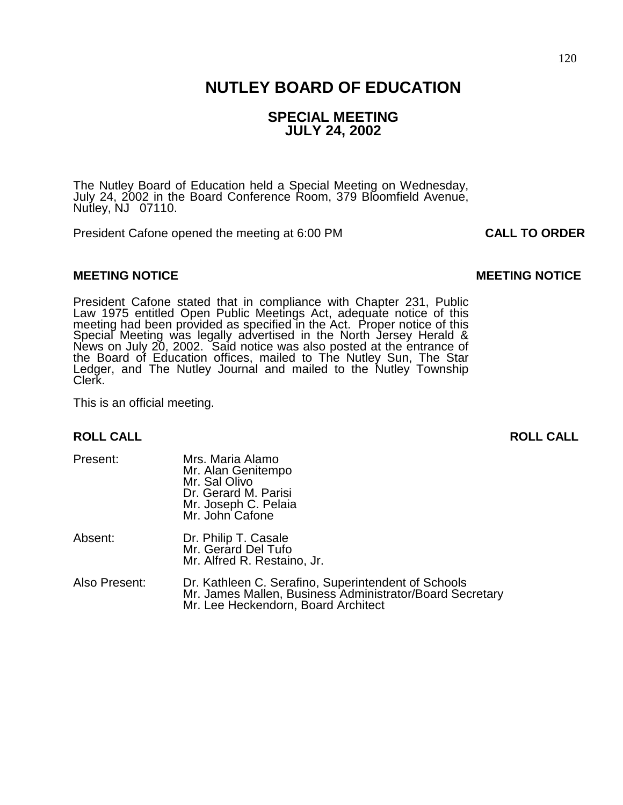## **NUTLEY BOARD OF EDUCATION**

## **SPECIAL MEETING JULY 24, 2002**

The Nutley Board of Education held a Special Meeting on Wednesday, July 24, 2002 in the Board Conference Room, 379 Bloomfield Avenue, Nutley, NJ 07110.

President Cafone opened the meeting at 6:00 PM **CALL TO ORDER**

#### **MEETING NOTICE CONSUMING A REFORE AND LOCAL CONSUMING MOTICE CONSUMING A REFORE AND MEETING NOTICE**

President Cafone stated that in compliance with Chapter 231, Public Law 1975 entitled Open Public Meetings Act, adequate notice of this meeting had been provided as specified in the Act. Proper notice of this Special Meeting was legally advertised in the North Jersey Herald & News on July 20, 2002. Said notice was also posted at the entrance of the Board of Education offices, mailed to The Nutley Sun, The Star Ledger, and The Nutley Journal and mailed to the Nutley Township Clerk.

This is an official meeting.

#### **ROLL CALL ROLL CALL**

| Present:      | Mrs. Maria Alamo<br>Mr. Alan Genitempo<br>Mr. Sal Olivo<br>Dr. Gerard M. Parisi<br>Mr. Joseph C. Pelaia<br>Mr. John Cafone                             |
|---------------|--------------------------------------------------------------------------------------------------------------------------------------------------------|
| Absent:       | Dr. Philip T. Casale<br>Mr. Gerard Del Tufo<br>Mr. Alfred R. Restaino, Jr.                                                                             |
| Also Present: | Dr. Kathleen C. Serafino, Superintendent of Schools<br>Mr. James Mallen, Business Administrator/Board Secretary<br>Mr. Lee Heckendorn, Board Architect |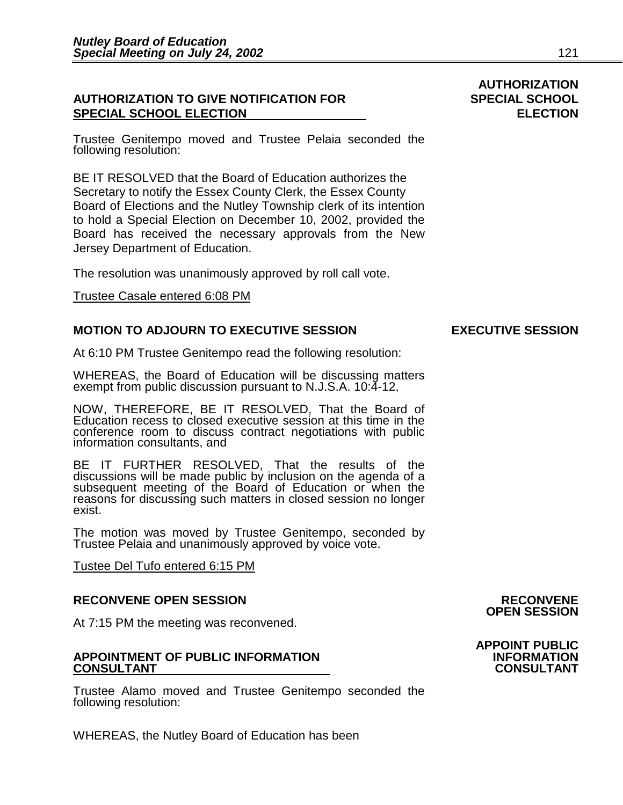### **AUTHORIZATION TO GIVE NOTIFICATION FOR SPECIAL SCHOOL SPECIAL SCHOOL ELECTION ELECTION**

Trustee Genitempo moved and Trustee Pelaia seconded the following resolution:

BE IT RESOLVED that the Board of Education authorizes the Secretary to notify the Essex County Clerk, the Essex County Board of Elections and the Nutley Township clerk of its intention to hold a Special Election on December 10, 2002, provided the Board has received the necessary approvals from the New Jersey Department of Education.

The resolution was unanimously approved by roll call vote.

#### Trustee Casale entered 6:08 PM

#### **MOTION TO ADJOURN TO EXECUTIVE SESSION EXECUTIVE SESSION**

At 6:10 PM Trustee Genitempo read the following resolution:

WHEREAS, the Board of Education will be discussing matters exempt from public discussion pursuant to N.J.S.A. 10:4-12,

NOW, THEREFORE, BE IT RESOLVED, That the Board of Education recess to closed executive session at this time in the conference room to discuss contract negotiations with public information consultants, and

BE IT FURTHER RESOLVED, That the results of the discussions will be made public by inclusion on the agenda of a subsequent meeting of the Board of Education or when the reasons for discussing such matters in closed session no longer exist.

The motion was moved by Trustee Genitempo, seconded by Trustee Pelaia and unanimously approved by voice vote.

Tustee Del Tufo entered 6:15 PM

#### **RECONVENE OPEN SESSION RECONVENE**

At 7:15 PM the meeting was reconvened.

#### **APPOINTMENT OF PUBLIC INFORMATION INFORMATION CONSULTANT CONSULTANT**

Trustee Alamo moved and Trustee Genitempo seconded the following resolution:

WHEREAS, the Nutley Board of Education has been

# **AUTHORIZATION**

## **OPEN SESSION**

**APPOINT PUBLIC**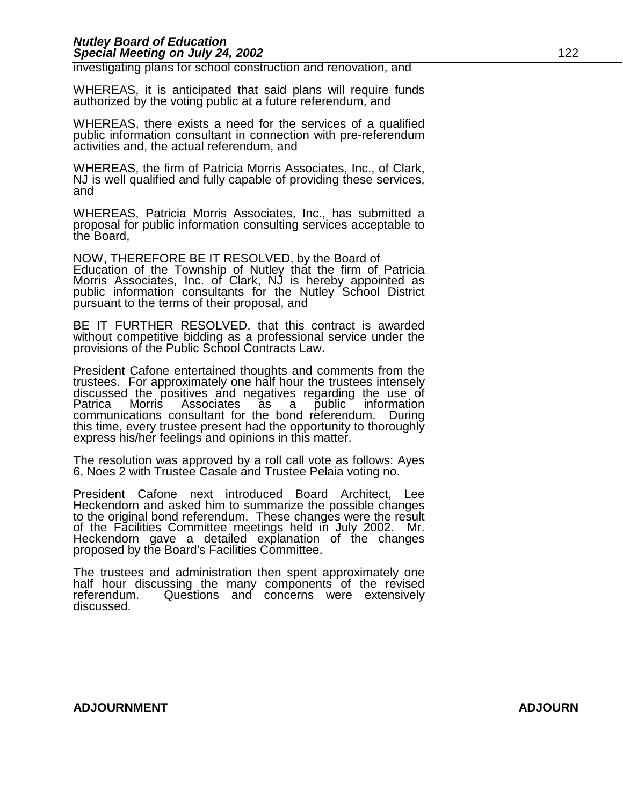#### *Nutley Board of Education*  **Special Meeting on July 24, 2002** 122

investigating plans for school construction and renovation, and

WHEREAS, it is anticipated that said plans will require funds authorized by the voting public at a future referendum, and

WHEREAS, there exists a need for the services of a qualified public information consultant in connection with pre-referendum activities and, the actual referendum, and

WHEREAS, the firm of Patricia Morris Associates, Inc., of Clark, NJ is well qualified and fully capable of providing these services, and

WHEREAS, Patricia Morris Associates, Inc., has submitted a proposal for public information consulting services acceptable to the Board,

NOW, THEREFORE BE IT RESOLVED, by the Board of Education of the Township of Nutley that the firm of Patricia Morris Associates, Inc. of Clark, NJ is hereby appointed as public information consultants for the Nutley School District pursuant to the terms of their proposal, and

BE IT FURTHER RESOLVED, that this contract is awarded without competitive bidding as a professional service under the provisions of the Public School Contracts Law.

President Cafone entertained thoughts and comments from the trustees. For approximately one half hour the trustees intensely discussed the positives and negatives regarding the use of Patrica Morris Associates as a public information communications consultant for the bond referendum. During this time, every trustee present had the opportunity to thoroughly express his/her feelings and opinions in this matter.

The resolution was approved by a roll call vote as follows: Ayes 6, Noes 2 with Trustee Casale and Trustee Pelaia voting no.

President Cafone next introduced Board Architect, Lee Heckendorn and asked him to summarize the possible changes to the original bond referendum. These changes were the result of the Facilities Committee meetings held in July 2002. Mr. Heckendorn gave a detailed explanation of the changes proposed by the Board's Facilities Committee.

The trustees and administration then spent approximately one half hour discussing the many components of the revised referendum. Questions and concerns were extensively discussed.

#### **ADJOURNMENT ADJOURN**